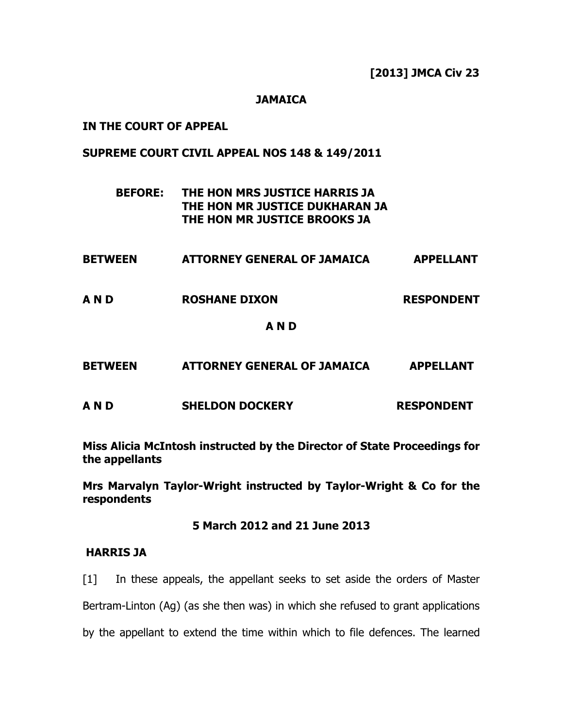[2013] JMCA Civ 23

## **JAMAICA**

### IN THE COURT OF APPEAL

### SUPREME COURT CIVIL APPEAL NOS 148 & 149/2011

# BEFORE: THE HON MRS JUSTICE HARRIS JA THE HON MR JUSTICE DUKHARAN JA THE HON MR JUSTICE BROOKS JA

| <b>BETWEEN</b> |  |  | <b>ATTORNEY GENERAL OF JAMAICA</b> | <b>APPELLANT</b> |
|----------------|--|--|------------------------------------|------------------|
|----------------|--|--|------------------------------------|------------------|

A N D ROSHANE DIXON RESPONDENT

#### A N D

| <b>BETWEEN</b> | <b>ATTORNEY GENERAL OF JAMAICA</b> | <b>APPELLANT</b> |
|----------------|------------------------------------|------------------|
|                |                                    |                  |

A N D SHELDON DOCKERY RESPONDENT

Miss Alicia McIntosh instructed by the Director of State Proceedings for the appellants

Mrs Marvalyn Taylor-Wright instructed by Taylor-Wright & Co for the respondents

#### 5 March 2012 and 21 June 2013

### HARRIS JA

[1] In these appeals, the appellant seeks to set aside the orders of Master Bertram-Linton (Ag) (as she then was) in which she refused to grant applications by the appellant to extend the time within which to file defences. The learned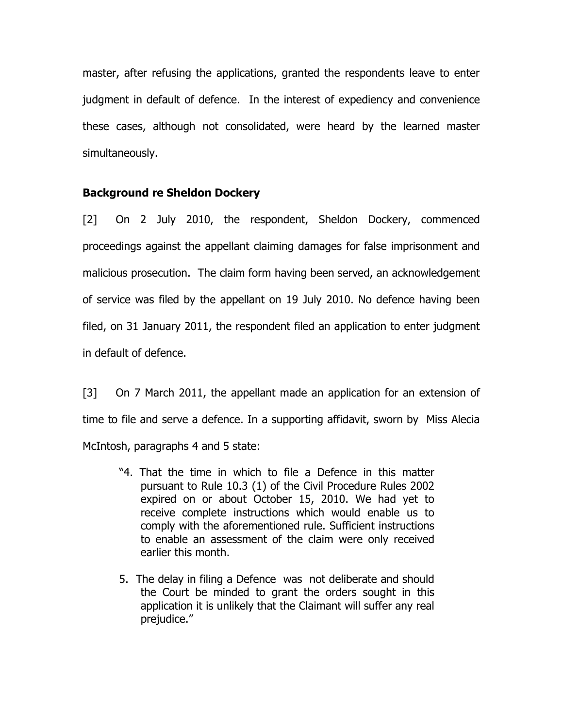master, after refusing the applications, granted the respondents leave to enter judgment in default of defence. In the interest of expediency and convenience these cases, although not consolidated, were heard by the learned master simultaneously.

# Background re Sheldon Dockery

[2] On 2 July 2010, the respondent, Sheldon Dockery, commenced proceedings against the appellant claiming damages for false imprisonment and malicious prosecution. The claim form having been served, an acknowledgement of service was filed by the appellant on 19 July 2010. No defence having been filed, on 31 January 2011, the respondent filed an application to enter judgment in default of defence.

[3] On 7 March 2011, the appellant made an application for an extension of time to file and serve a defence. In a supporting affidavit, sworn by Miss Alecia McIntosh, paragraphs 4 and 5 state:

- "4. That the time in which to file a Defence in this matter pursuant to Rule 10.3 (1) of the Civil Procedure Rules 2002 expired on or about October 15, 2010. We had yet to receive complete instructions which would enable us to comply with the aforementioned rule. Sufficient instructions to enable an assessment of the claim were only received earlier this month.
- 5. The delay in filing a Defence was not deliberate and should the Court be minded to grant the orders sought in this application it is unlikely that the Claimant will suffer any real prejudice."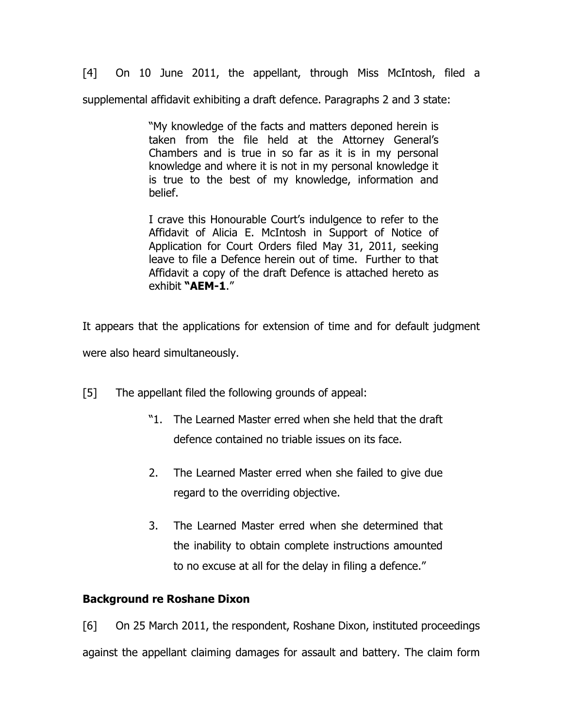[4] On 10 June 2011, the appellant, through Miss McIntosh, filed a supplemental affidavit exhibiting a draft defence. Paragraphs 2 and 3 state:

> "My knowledge of the facts and matters deponed herein is taken from the file held at the Attorney General's Chambers and is true in so far as it is in my personal knowledge and where it is not in my personal knowledge it is true to the best of my knowledge, information and belief.

> I crave this Honourable Court's indulgence to refer to the Affidavit of Alicia E. McIntosh in Support of Notice of Application for Court Orders filed May 31, 2011, seeking leave to file a Defence herein out of time. Further to that Affidavit a copy of the draft Defence is attached hereto as exhibit "AEM-1."

It appears that the applications for extension of time and for default judgment

were also heard simultaneously.

- [5] The appellant filed the following grounds of appeal:
	- "1. The Learned Master erred when she held that the draft defence contained no triable issues on its face.
	- 2. The Learned Master erred when she failed to give due regard to the overriding objective.
	- 3. The Learned Master erred when she determined that the inability to obtain complete instructions amounted to no excuse at all for the delay in filing a defence."

# Background re Roshane Dixon

[6] On 25 March 2011, the respondent, Roshane Dixon, instituted proceedings against the appellant claiming damages for assault and battery. The claim form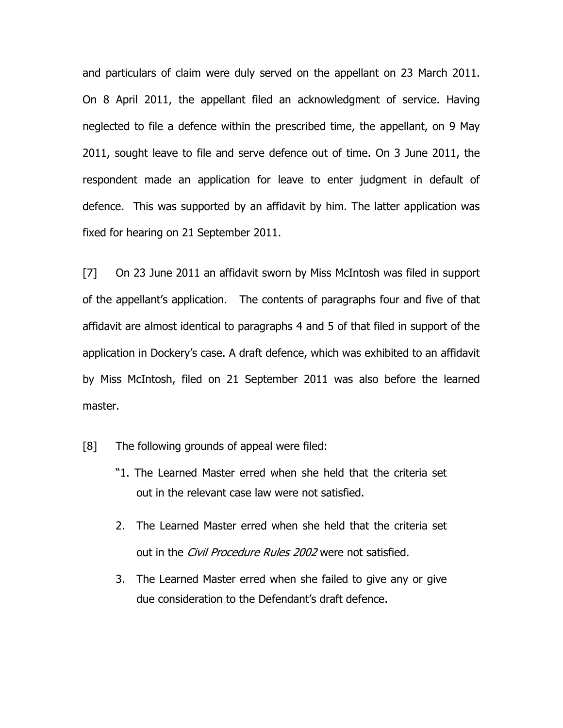and particulars of claim were duly served on the appellant on 23 March 2011. On 8 April 2011, the appellant filed an acknowledgment of service. Having neglected to file a defence within the prescribed time, the appellant, on 9 May 2011, sought leave to file and serve defence out of time. On 3 June 2011, the respondent made an application for leave to enter judgment in default of defence. This was supported by an affidavit by him. The latter application was fixed for hearing on 21 September 2011.

[7] On 23 June 2011 an affidavit sworn by Miss McIntosh was filed in support of the appellant's application. The contents of paragraphs four and five of that affidavit are almost identical to paragraphs 4 and 5 of that filed in support of the application in Dockery's case. A draft defence, which was exhibited to an affidavit by Miss McIntosh, filed on 21 September 2011 was also before the learned master.

- [8] The following grounds of appeal were filed:
	- "1. The Learned Master erred when she held that the criteria set out in the relevant case law were not satisfied.
	- 2. The Learned Master erred when she held that the criteria set out in the *Civil Procedure Rules 2002* were not satisfied.
	- 3. The Learned Master erred when she failed to give any or give due consideration to the Defendant's draft defence.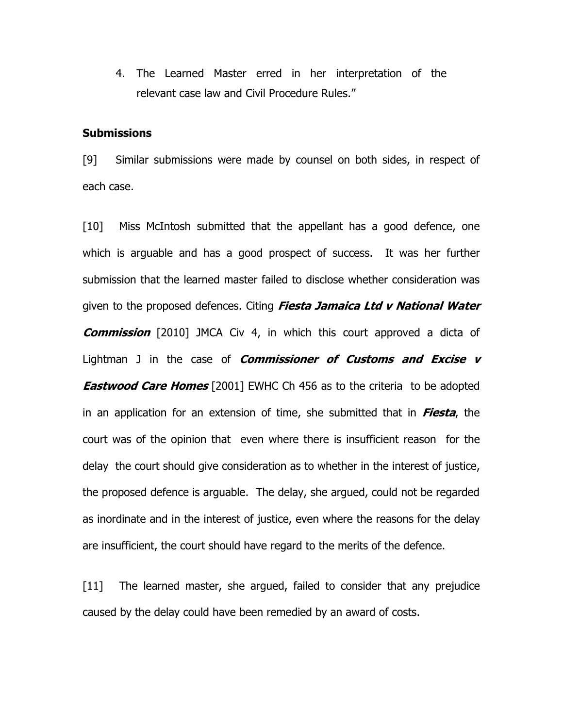4. The Learned Master erred in her interpretation of the relevant case law and Civil Procedure Rules."

#### **Submissions**

[9] Similar submissions were made by counsel on both sides, in respect of each case.

[10] Miss McIntosh submitted that the appellant has a good defence, one which is arguable and has a good prospect of success. It was her further submission that the learned master failed to disclose whether consideration was given to the proposed defences. Citing *Fiesta Jamaica Ltd v National Water* **Commission** [2010] JMCA Civ 4, in which this court approved a dicta of Lightman J in the case of *Commissioner of Customs and Excise v* **Eastwood Care Homes** [2001] EWHC Ch 456 as to the criteria to be adopted in an application for an extension of time, she submitted that in **Fiesta**, the court was of the opinion that even where there is insufficient reason for the delay the court should give consideration as to whether in the interest of justice, the proposed defence is arguable. The delay, she argued, could not be regarded as inordinate and in the interest of justice, even where the reasons for the delay are insufficient, the court should have regard to the merits of the defence.

[11] The learned master, she argued, failed to consider that any prejudice caused by the delay could have been remedied by an award of costs.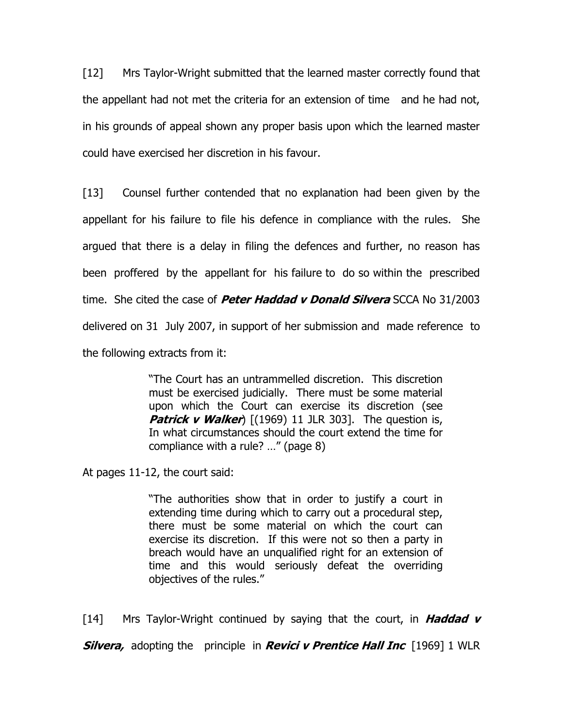[12] Mrs Taylor-Wright submitted that the learned master correctly found that the appellant had not met the criteria for an extension of time and he had not, in his grounds of appeal shown any proper basis upon which the learned master could have exercised her discretion in his favour.

[13] Counsel further contended that no explanation had been given by the appellant for his failure to file his defence in compliance with the rules. She argued that there is a delay in filing the defences and further, no reason has been proffered by the appellant for his failure to do so within the prescribed time. She cited the case of *Peter Haddad v Donald Silvera* SCCA No 31/2003 delivered on 31 July 2007, in support of her submission and made reference to the following extracts from it:

> "The Court has an untrammelled discretion. This discretion must be exercised judicially. There must be some material upon which the Court can exercise its discretion (see **Patrick v Walker**)  $[(1969) 11$  JLR 303]. The question is, In what circumstances should the court extend the time for compliance with a rule? …" (page 8)

At pages 11-12, the court said:

"The authorities show that in order to justify a court in extending time during which to carry out a procedural step, there must be some material on which the court can exercise its discretion. If this were not so then a party in breach would have an unqualified right for an extension of time and this would seriously defeat the overriding objectives of the rules."

[14] Mrs Taylor-Wright continued by saying that the court, in **Haddad v Silvera,** adopting the principle in **Revici v Prentice Hall Inc** [1969] 1 WLR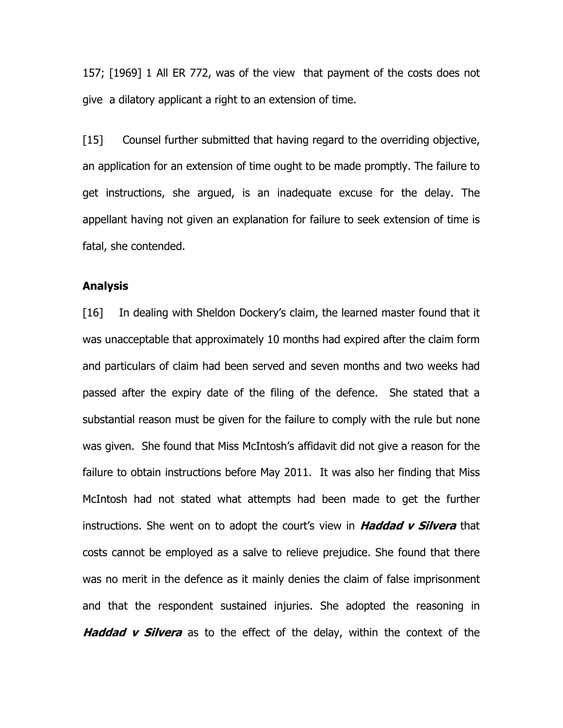157; [1969] 1 All ER 772, was of the view that payment of the costs does not give a dilatory applicant a right to an extension of time.

[15] Counsel further submitted that having regard to the overriding objective, an application for an extension of time ought to be made promptly. The failure to get instructions, she argued, is an inadequate excuse for the delay. The appellant having not given an explanation for failure to seek extension of time is fatal, she contended.

#### Analysis

[16] In dealing with Sheldon Dockery's claim, the learned master found that it was unacceptable that approximately 10 months had expired after the claim form and particulars of claim had been served and seven months and two weeks had passed after the expiry date of the filing of the defence. She stated that a substantial reason must be given for the failure to comply with the rule but none was given. She found that Miss McIntosh's affidavit did not give a reason for the failure to obtain instructions before May 2011. It was also her finding that Miss McIntosh had not stated what attempts had been made to get the further instructions. She went on to adopt the court's view in Haddad v Silvera that costs cannot be employed as a salve to relieve prejudice. She found that there was no merit in the defence as it mainly denies the claim of false imprisonment and that the respondent sustained injuries. She adopted the reasoning in **Haddad v Silvera** as to the effect of the delay, within the context of the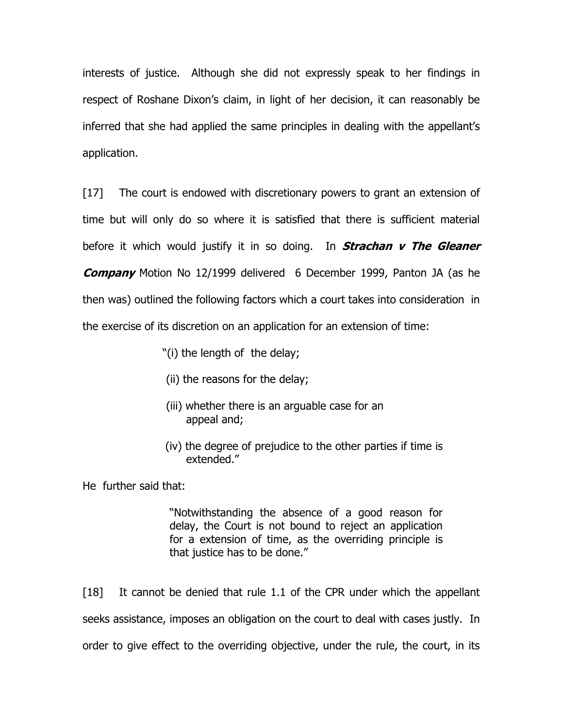interests of justice. Although she did not expressly speak to her findings in respect of Roshane Dixon's claim, in light of her decision, it can reasonably be inferred that she had applied the same principles in dealing with the appellant's application.

[17] The court is endowed with discretionary powers to grant an extension of time but will only do so where it is satisfied that there is sufficient material before it which would justify it in so doing. In **Strachan v The Gleaner Company** Motion No 12/1999 delivered 6 December 1999, Panton JA (as he then was) outlined the following factors which a court takes into consideration in the exercise of its discretion on an application for an extension of time:

- "(i) the length of the delay;
- (ii) the reasons for the delay;
- (iii) whether there is an arguable case for an appeal and;
- (iv) the degree of prejudice to the other parties if time is extended."

He further said that:

"Notwithstanding the absence of a good reason for delay, the Court is not bound to reject an application for a extension of time, as the overriding principle is that justice has to be done."

[18] It cannot be denied that rule 1.1 of the CPR under which the appellant seeks assistance, imposes an obligation on the court to deal with cases justly. In order to give effect to the overriding objective, under the rule, the court, in its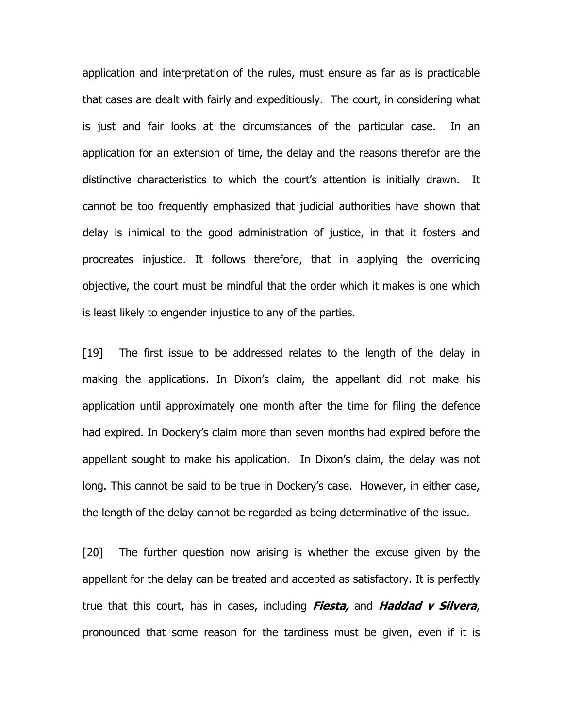application and interpretation of the rules, must ensure as far as is practicable that cases are dealt with fairly and expeditiously. The court, in considering what is just and fair looks at the circumstances of the particular case. In an application for an extension of time, the delay and the reasons therefor are the distinctive characteristics to which the court's attention is initially drawn. It cannot be too frequently emphasized that judicial authorities have shown that delay is inimical to the good administration of justice, in that it fosters and procreates injustice. It follows therefore, that in applying the overriding objective, the court must be mindful that the order which it makes is one which is least likely to engender injustice to any of the parties.

[19] The first issue to be addressed relates to the length of the delay in making the applications. In Dixon's claim, the appellant did not make his application until approximately one month after the time for filing the defence had expired. In Dockery's claim more than seven months had expired before the appellant sought to make his application. In Dixon's claim, the delay was not long. This cannot be said to be true in Dockery's case. However, in either case, the length of the delay cannot be regarded as being determinative of the issue.

[20] The further question now arising is whether the excuse given by the appellant for the delay can be treated and accepted as satisfactory. It is perfectly true that this court, has in cases, including *Fiesta*, and *Haddad v Silvera*, pronounced that some reason for the tardiness must be given, even if it is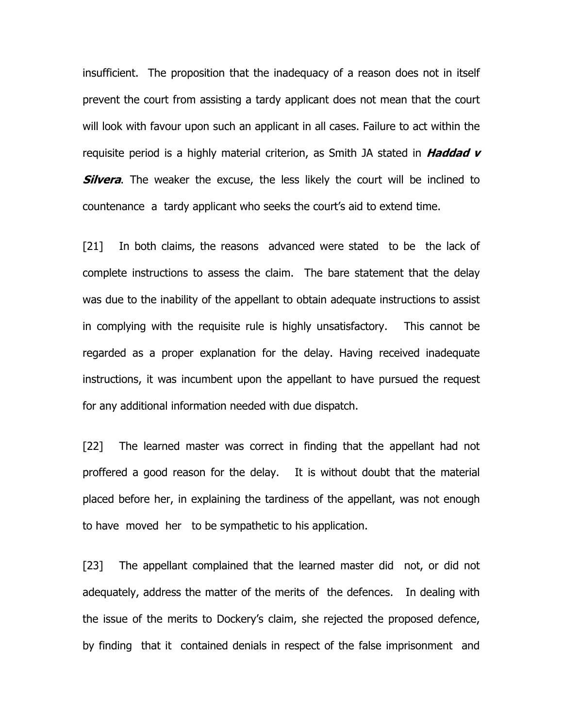insufficient. The proposition that the inadequacy of a reason does not in itself prevent the court from assisting a tardy applicant does not mean that the court will look with favour upon such an applicant in all cases. Failure to act within the requisite period is a highly material criterion, as Smith JA stated in Haddad v **Silvera**. The weaker the excuse, the less likely the court will be inclined to countenance a tardy applicant who seeks the court's aid to extend time.

[21] In both claims, the reasons advanced were stated to be the lack of complete instructions to assess the claim. The bare statement that the delay was due to the inability of the appellant to obtain adequate instructions to assist in complying with the requisite rule is highly unsatisfactory. This cannot be regarded as a proper explanation for the delay. Having received inadequate instructions, it was incumbent upon the appellant to have pursued the request for any additional information needed with due dispatch.

[22] The learned master was correct in finding that the appellant had not proffered a good reason for the delay. It is without doubt that the material placed before her, in explaining the tardiness of the appellant, was not enough to have moved her to be sympathetic to his application.

[23] The appellant complained that the learned master did not, or did not adequately, address the matter of the merits of the defences. In dealing with the issue of the merits to Dockery's claim, she rejected the proposed defence, by finding that it contained denials in respect of the false imprisonment and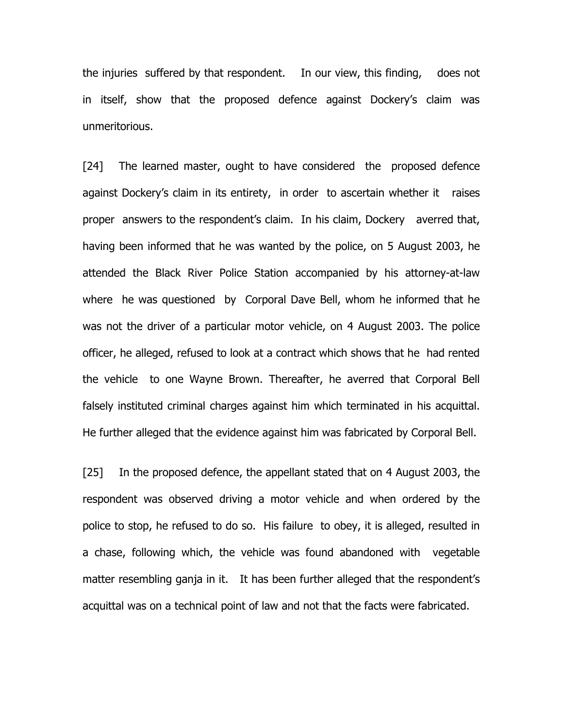the injuries suffered by that respondent. In our view, this finding, does not in itself, show that the proposed defence against Dockery's claim was unmeritorious.

[24] The learned master, ought to have considered the proposed defence against Dockery's claim in its entirety, in order to ascertain whether it raises proper answers to the respondent's claim. In his claim, Dockery averred that, having been informed that he was wanted by the police, on 5 August 2003, he attended the Black River Police Station accompanied by his attorney-at-law where he was questioned by Corporal Dave Bell, whom he informed that he was not the driver of a particular motor vehicle, on 4 August 2003. The police officer, he alleged, refused to look at a contract which shows that he had rented the vehicle to one Wayne Brown. Thereafter, he averred that Corporal Bell falsely instituted criminal charges against him which terminated in his acquittal. He further alleged that the evidence against him was fabricated by Corporal Bell.

[25] In the proposed defence, the appellant stated that on 4 August 2003, the respondent was observed driving a motor vehicle and when ordered by the police to stop, he refused to do so. His failure to obey, it is alleged, resulted in a chase, following which, the vehicle was found abandoned with vegetable matter resembling ganja in it. It has been further alleged that the respondent's acquittal was on a technical point of law and not that the facts were fabricated.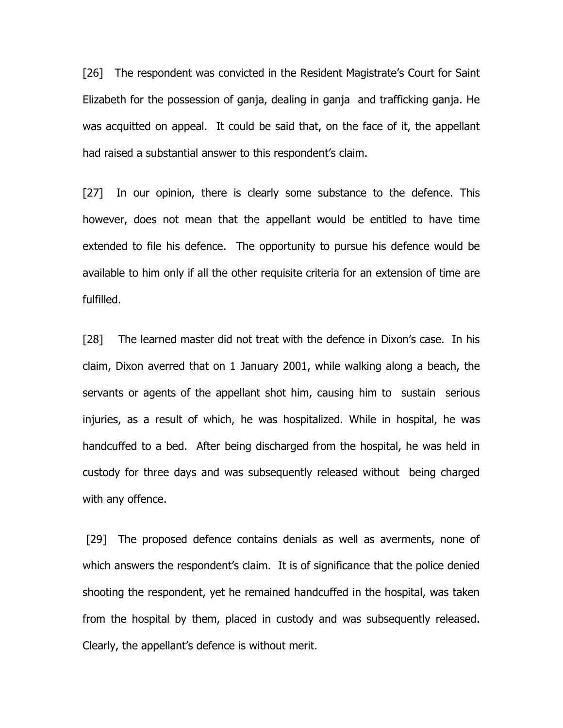[26] The respondent was convicted in the Resident Magistrate's Court for Saint Elizabeth for the possession of ganja, dealing in ganja and trafficking ganja. He was acquitted on appeal. It could be said that, on the face of it, the appellant had raised a substantial answer to this respondent's claim.

[27] In our opinion, there is clearly some substance to the defence. This however, does not mean that the appellant would be entitled to have time extended to file his defence. The opportunity to pursue his defence would be available to him only if all the other requisite criteria for an extension of time are fulfilled.

[28] The learned master did not treat with the defence in Dixon's case. In his claim, Dixon averred that on 1 January 2001, while walking along a beach, the servants or agents of the appellant shot him, causing him to sustain serious injuries, as a result of which, he was hospitalized. While in hospital, he was handcuffed to a bed. After being discharged from the hospital, he was held in custody for three days and was subsequently released without being charged with any offence.

 [29] The proposed defence contains denials as well as averments, none of which answers the respondent's claim. It is of significance that the police denied shooting the respondent, yet he remained handcuffed in the hospital, was taken from the hospital by them, placed in custody and was subsequently released. Clearly, the appellant's defence is without merit.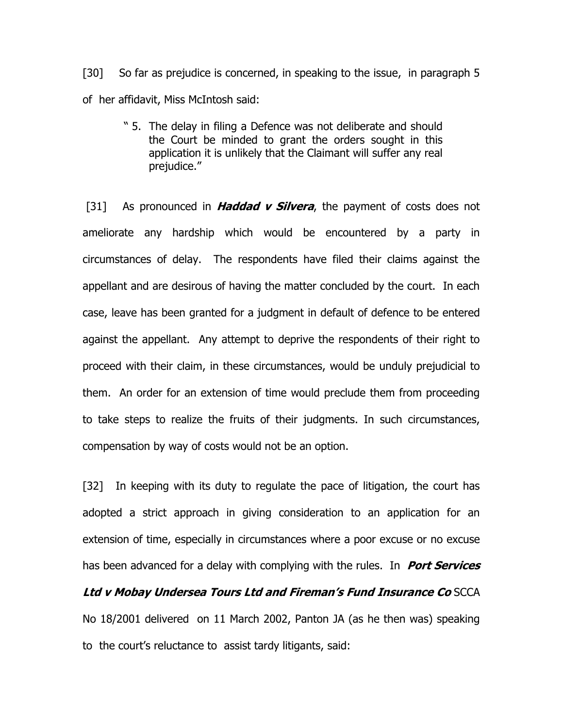[30] So far as prejudice is concerned, in speaking to the issue, in paragraph 5 of her affidavit, Miss McIntosh said:

> " 5. The delay in filing a Defence was not deliberate and should the Court be minded to grant the orders sought in this application it is unlikely that the Claimant will suffer any real prejudice."

[31] As pronounced in **Haddad v Silvera**, the payment of costs does not ameliorate any hardship which would be encountered by a party in circumstances of delay. The respondents have filed their claims against the appellant and are desirous of having the matter concluded by the court. In each case, leave has been granted for a judgment in default of defence to be entered against the appellant. Any attempt to deprive the respondents of their right to proceed with their claim, in these circumstances, would be unduly prejudicial to them. An order for an extension of time would preclude them from proceeding to take steps to realize the fruits of their judgments. In such circumstances, compensation by way of costs would not be an option.

[32] In keeping with its duty to regulate the pace of litigation, the court has adopted a strict approach in giving consideration to an application for an extension of time, especially in circumstances where a poor excuse or no excuse has been advanced for a delay with complying with the rules. In **Port Services** Ltd v Mobay Undersea Tours Ltd and Fireman's Fund Insurance Co SCCA No 18/2001 delivered on 11 March 2002, Panton JA (as he then was) speaking to the court's reluctance to assist tardy litigants, said: